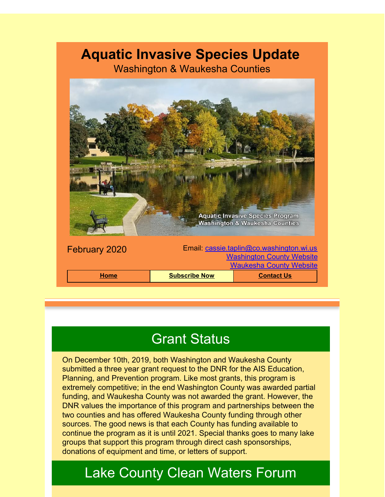## **Aquatic Invasive Species Update**

Washington & Waukesha Counties



# **Grant Status**

On December 10th, 2019, both Washington and Waukesha County submitted a three year grant request to the DNR for the AIS Education, Planning, and Prevention program. Like most grants, this program is extremely competitive; in the end Washington County was awarded partial funding, and Waukesha County was not awarded the grant. However, the DNR values the importance of this program and partnerships between the two counties and has offered Waukesha County funding through other sources. The good news is that each County has funding available to continue the program as it is until 2021. Special thanks goes to many lake groups that support this program through direct cash sponsorships, donations of equipment and time, or letters of support.

# Lake County Clean Waters Forum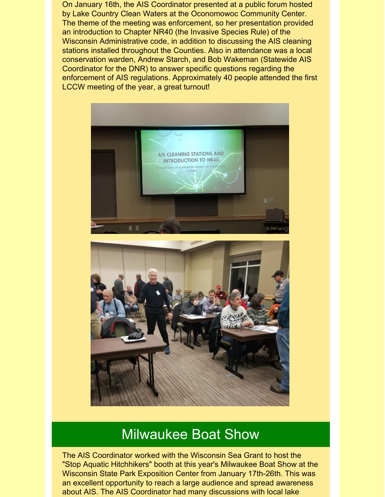On January 16th, the AIS Coordinator presented at a public forum hosted by Lake Country Clean Waters at the Oconomowoc Community Center. The theme of the meeting was enforcement, so her presentation provided an introduction to Chapter NR40 (the Invasive Species Rule) of the Wisconsin Administrative code, in addition to discussing the AIS cleaning stations installed throughout the Counties. Also in attendance was a local conservation warden, Andrew Starch, and Bob Wakeman (Statewide AIS Coordinator for the DNR) to answer specific questions regarding the enforcement of AIS regulations. Approximately 40 people attended the first LCCW meeting of the year, a great turnout!



#### Milwaukee Boat Show

The AIS Coordinator worked with the Wisconsin Sea Grant to host the "Stop Aquatic Hitchhikers" booth at this year's Milwaukee Boat Show at the Wisconsin State Park Exposition Center from January 17th-26th. This was an excellent opportunity to reach a large audience and spread awareness about AIS. The AIS Coordinator had many discussions with local lake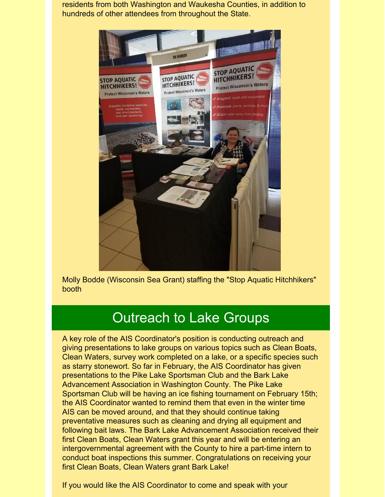residents from both Washington and Waukesha Counties, in addition to hundreds of other attendees from throughout the State.



Molly Bodde (Wisconsin Sea Grant) staffing the "Stop Aquatic Hitchhikers" booth

### Outreach to Lake Groups

A key role of the AIS Coordinator's position is conducting outreach and giving presentations to lake groups on various topics such as Clean Boats, Clean Waters, survey work completed on a lake, or a specific species such as starry stonewort. So far in February, the AIS Coordinator has given presentations to the Pike Lake Sportsman Club and the Bark Lake Advancement Association in Washington County. The Pike Lake Sportsman Club will be having an ice fishing tournament on February 15th; the AIS Coordinator wanted to remind them that even in the winter time AIS can be moved around, and that they should continue taking preventative measures such as cleaning and drying all equipment and following bait laws. The Bark Lake Advancement Association received their first Clean Boats, Clean Waters grant this year and will be entering an intergovernmental agreement with the County to hire a part-time intern to conduct boat inspections this summer. Congratulations on receiving your first Clean Boats, Clean Waters grant Bark Lake!

If you would like the AIS Coordinator to come and speak with your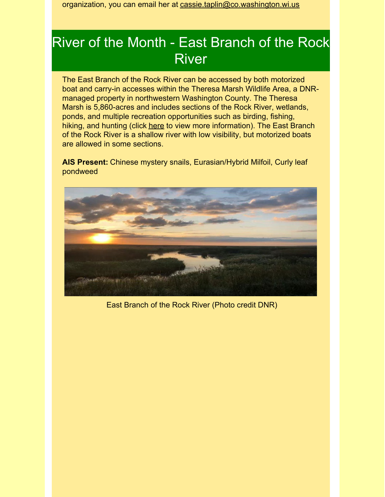organization, you can email her at [cassie.taplin@co.washington.wi.us](mailto:cassie.taplin@co.washington.wi.us)

### River of the Month - East Branch of the Rock **River**

The East Branch of the Rock River can be accessed by both motorized boat and carry-in accesses within the Theresa Marsh Wildlife Area, a DNRmanaged property in northwestern Washington County. The Theresa Marsh is 5,860-acres and includes sections of the Rock River, wetlands, ponds, and multiple recreation opportunities such as birding, fishing, hiking, and hunting (click [here](https://dnr.wi.gov/topic/lands/WildlifeAreas/theresa.html?utm_source=Aquatic+Invasive+Species+February+2020&utm_campaign=AIS+January+2018+Update&utm_medium=email) to view more information). The East Branch of the Rock River is a shallow river with low visibility, but motorized boats are allowed in some sections.

**AIS Present:** Chinese mystery snails, Eurasian/Hybrid Milfoil, Curly leaf pondweed



East Branch of the Rock River (Photo credit DNR)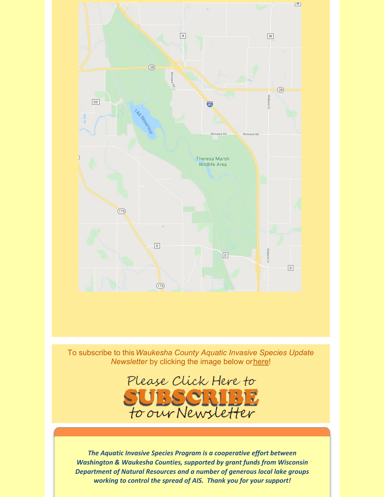

To subscribe to this*Waukesha County Aquatic Invasive Species Update Newsletter* by clicking the image below or[here](http://visitor.r20.constantcontact.com/d.jsp?llr=kfohqmcab&p=oi&m=1102078785706&sit=mdwsaogdb&f=72c567dd-ea1f-46d9-a3b3-0487646a78a3)!



*The Aquatic Invasive Species Program is a cooperative effort between Washington & Waukesha Counties, supported by grant funds from Wisconsin Department of Natural Resources and a number of generous local lake groups working to control the spread of AIS. Thank you for your support!*